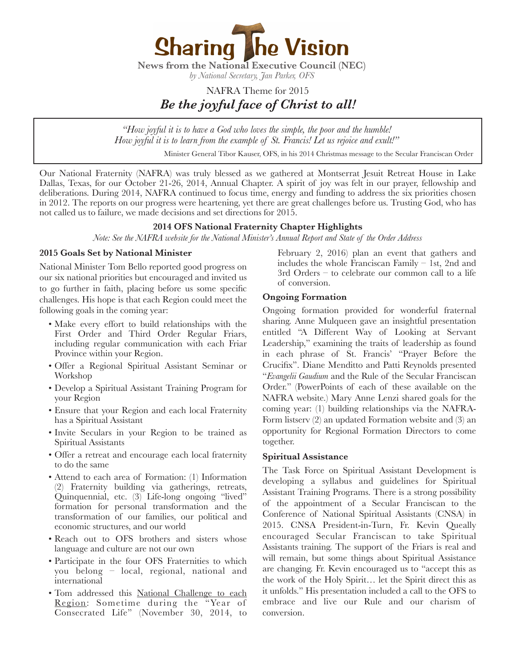

*by National Secretary, Jan Parker, OFS*

# NAFRA Theme for 2015 *Be the joyful face of Christ to all!*

*"How joyful it is to have a God who loves the simple, the poor and the humble! How joyful it is to learn from the example of St. Francis! Let us rejoice and exult!"* 

*Minister General Tibor Kauser, OFS, in his 2014 Christmas message to the Secular Franciscan Order* 

Our National Fraternity (NAFRA) was truly blessed as we gathered at Montserrat Jesuit Retreat House in Lake Dallas, Texas, for our October 21-26, 2014, Annual Chapter. A spirit of joy was felt in our prayer, fellowship and deliberations. During 2014, NAFRA continued to focus time, energy and funding to address the six priorities chosen in 2012. The reports on our progress were heartening, yet there are great challenges before us. Trusting God, who has not called us to failure, we made decisions and set directions for 2015.

# **2014 OFS National Fraternity Chapter Highlights**

*Note: See the NAFRA website for the National Minister's Annual Report and State of the Order Address* 

#### **2015 Goals Set by National Minister**

National Minister Tom Bello reported good progress on our six national priorities but encouraged and invited us to go further in faith, placing before us some specific challenges. His hope is that each Region could meet the following goals in the coming year:

- Make every effort to build relationships with the First Order and Third Order Regular Friars, including regular communication with each Friar Province within your Region.
- Offer a Regional Spiritual Assistant Seminar or Workshop
- Develop a Spiritual Assistant Training Program for your Region
- Ensure that your Region and each local Fraternity has a Spiritual Assistant
- Invite Seculars in your Region to be trained as Spiritual Assistants
- Offer a retreat and encourage each local fraternity to do the same
- Attend to each area of Formation: (1) Information (2) Fraternity building via gatherings, retreats, Quinquennial, etc. (3) Life-long ongoing "lived" formation for personal transformation and the transformation of our families, our political and economic structures, and our world
- Reach out to OFS brothers and sisters whose language and culture are not our own
- Participate in the four OFS Fraternities to which you belong – local, regional, national and international
- Tom addressed this National Challenge to each Region: Sometime during the "Year of Consecrated Life" (November 30, 2014, to

February 2, 2016) plan an event that gathers and includes the whole Franciscan Family  $-$  1st, 2nd and 3rd Orders – to celebrate our common call to a life of conversion.

#### **Ongoing Formation**

Ongoing formation provided for wonderful fraternal sharing. Anne Mulqueen gave an insightful presentation entitled "A Different Way of Looking at Servant Leadership," examining the traits of leadership as found in each phrase of St. Francis' "Prayer Before the Crucifix". Diane Menditto and Patti Reynolds presented "*Evangelii Gaudium* and the Rule of the Secular Franciscan Order." (PowerPoints of each of these available on the NAFRA website.) Mary Anne Lenzi shared goals for the coming year: (1) building relationships via the NAFRA-Form listserv (2) an updated Formation website and (3) an opportunity for Regional Formation Directors to come together.

#### **Spiritual Assistance**

The Task Force on Spiritual Assistant Development is developing a syllabus and guidelines for Spiritual Assistant Training Programs. There is a strong possibility of the appointment of a Secular Franciscan to the Conference of National Spiritual Assistants (CNSA) in 2015. CNSA President-in-Turn, Fr. Kevin Queally encouraged Secular Franciscan to take Spiritual Assistants training. The support of the Friars is real and will remain, but some things about Spiritual Assistance are changing. Fr. Kevin encouraged us to "accept this as the work of the Holy Spirit… let the Spirit direct this as it unfolds." His presentation included a call to the OFS to embrace and live our Rule and our charism of conversion.